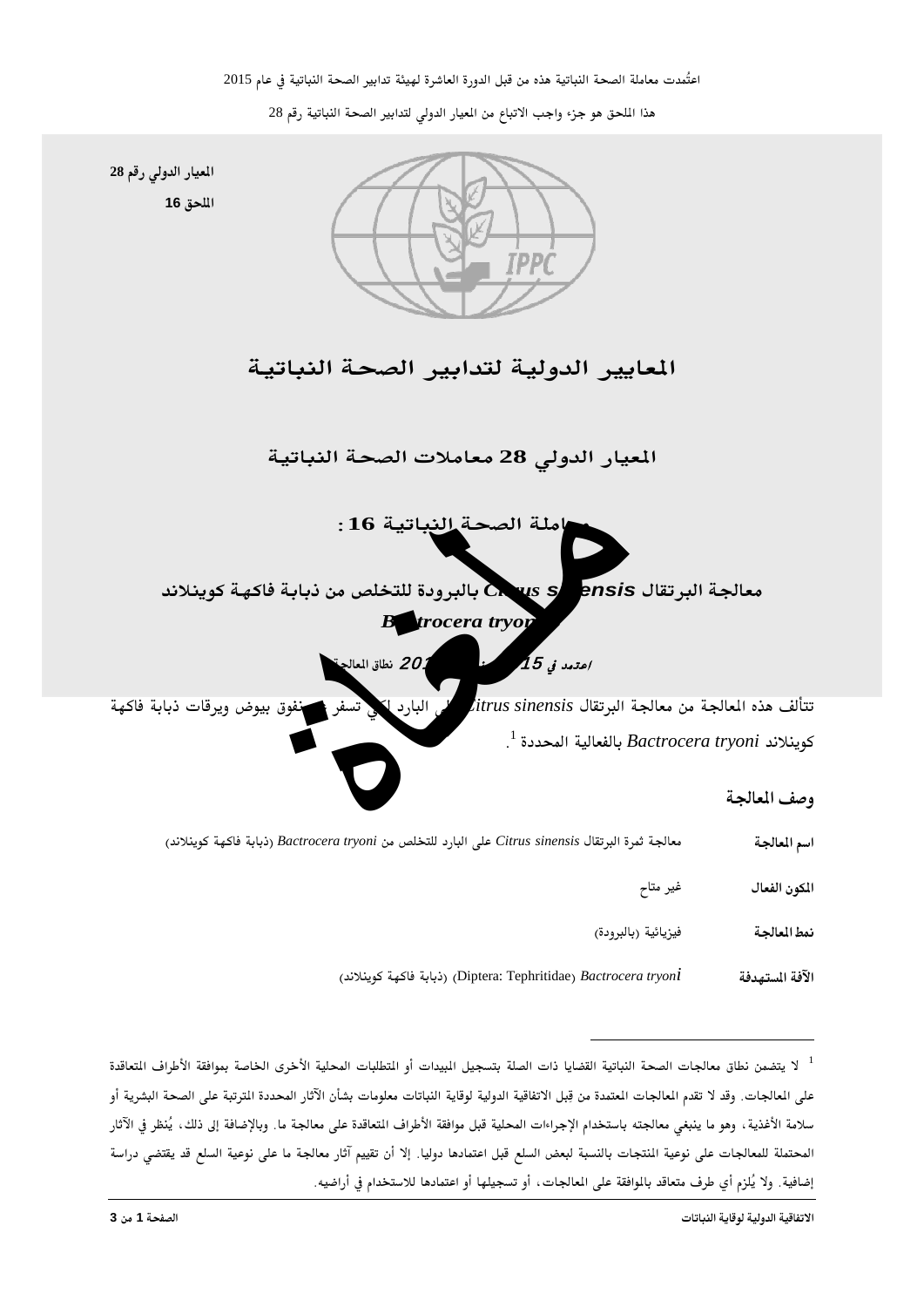هذا الملحق هو جزء واجب الاتباع من الميار الدولي لتدابير الصحة النباتية رقم 28



<span id="page-0-0"></span><sup>&</sup>lt;sup>1</sup> لا يتضمن نطاق معالجات الصحة النباتية القضايا ذات الصلة بتسجيل المبيدات أو التطلبات المحلية الأخرى الخاصة بموافقة الأطراف التعاقدة على المالجات. وقد لا تقدم المالجات المتمدة من قِبل الاتفاقية الدولية لوقاية النباتات معلومات بشأن الآثار المحددة الترتبة على الصحة البشرية أو سلامة الأغذية ، وهو ما ينبغي معالجته باستخدام الإجراءات المحلية قبل موافقة الأطراف التعاقدة على معالجة ما. وبالإضافة إلى ذلك ، يُنظر في الآثار المحتملة للمعالجات على نوعية المنتجات بالنسبة لبعض السلع قبل اعتمادها دوليا. إلا أن تقييم آثار معالجة ما على نوعية السلع قد يقتضى دراسة إضافية. ولا يُلزم أي طرف متعاقد بالموافقة على المالجات، أو تسجيلها أو اعتمادها للاستخدام في أراضيه.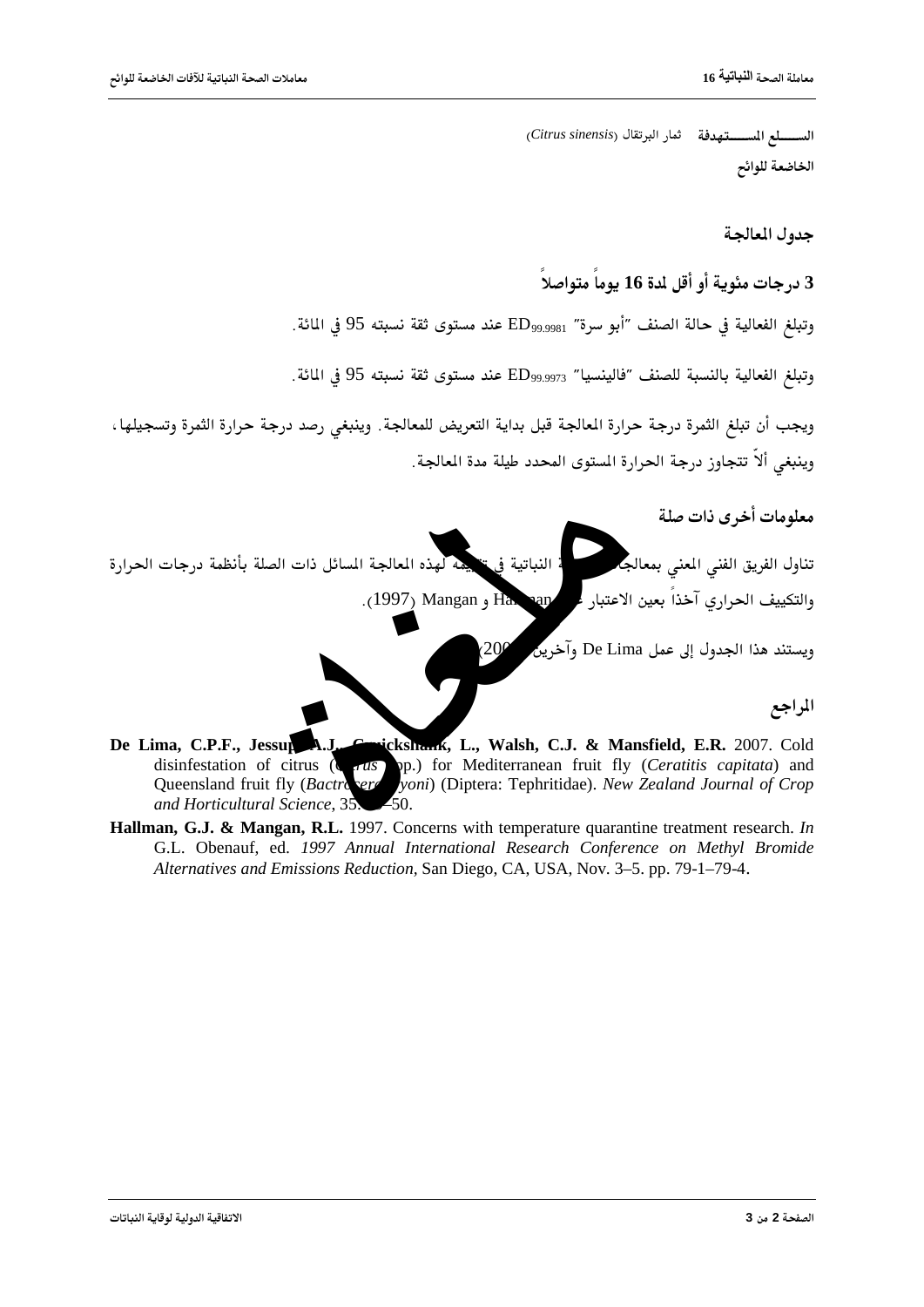الســـــــلع المســــــتهدفة ثمار البرتقال (Citrus sinensis) الخاضعة للوائح

حده ل المعالحة

3 درجات مئوية أو أقل لدة 16 يوماً متواصلاً

وتبلغ الفعالية في حالة الصنف ″أبو سرة″ ED999981 عند مستوى ثقة نسبته 95 في المائة.

وتبلغ الفعالية بالنسبة للصنف "فالينسيا" ED999973 عند مستوى ثقة نسبته 95 في المائة.

ويجب أن تبلغ الثمرة درجة حرارة المالجة قبل بداية التعريض للمعالجة. وينبغي رصد درجة حرارة الثمرة وتسجيلها ، وينبغي ألاّ تتجاوز درجة الحرارة المستوى المحدد طيلة مدة المالجة.

معلومات أخرى ذات صلة

تناول الفريق الفنى المعنى بمعالجا .<br>\* النباتية في « يمه لهذه المعالجة المسائل ذات الصلة بأنظمة درجات الحرارة · والتكييف الحراري آخذاً بعين الاعتبار ء .(1997) Mangan , Ha. ran

 $(20^\circ$ 

ويستند هذا الجدول إلى عمل De Lima وآخرين

المراجع

- De Lima, C.P.F., Jessup A.J. Grickshams, L., Walsh, C.J. & Mansfield, E.R. 2007. Cold disinfestation of citrus (and the complete of the Character of the Character of the Character of the Character of the Character of the Character of the Character of the Character of the Character of the Character of the Ch op.) for Mediterranean fruit fly (Ceratitis capitata) and Queensland fruit fly (Bactroser yoni) (Diptera: Tephritidae). New Zealand Journal of Crop and Horticultural Science, 35.  $\boldsymbol{z}_{50}$
- Hallman, G.J. & Mangan, R.L. 1997. Concerns with temperature quarantine treatment research. In G.L. Obenauf, ed. 1997 Annual International Research Conference on Methyl Bromide Alternatives and Emissions Reduction, San Diego, CA, USA, Nov. 3–5. pp. 79-1–79-4.